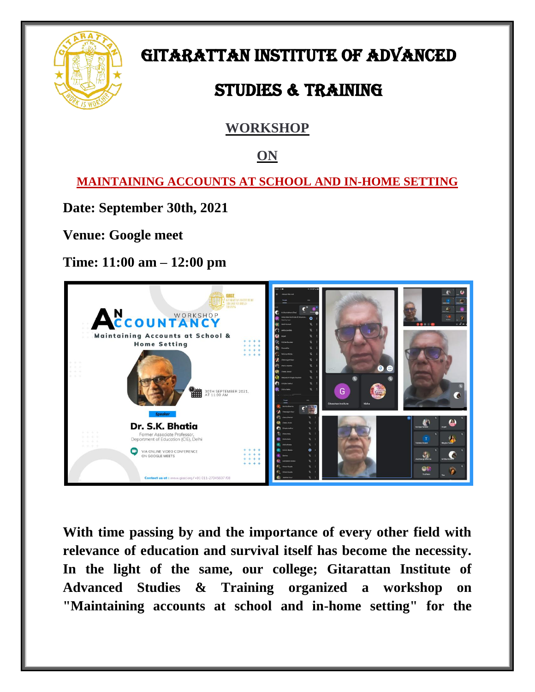

# GITARATTAN INSTITUTE OF ADVANCED

# STUDIES & TRAINING

### **WORKSHOP**

#### **ON**

**MAINTAINING ACCOUNTS AT SCHOOL AND IN-HOME SETTING**

**Date: September 30th, 2021**

**Venue: Google meet**

**Time: 11:00 am – 12:00 pm**



**With time passing by and the importance of every other field with relevance of education and survival itself has become the necessity. In the light of the same, our college; Gitarattan Institute of Advanced Studies & Training organized a workshop on "Maintaining accounts at school and in-home setting" for the**